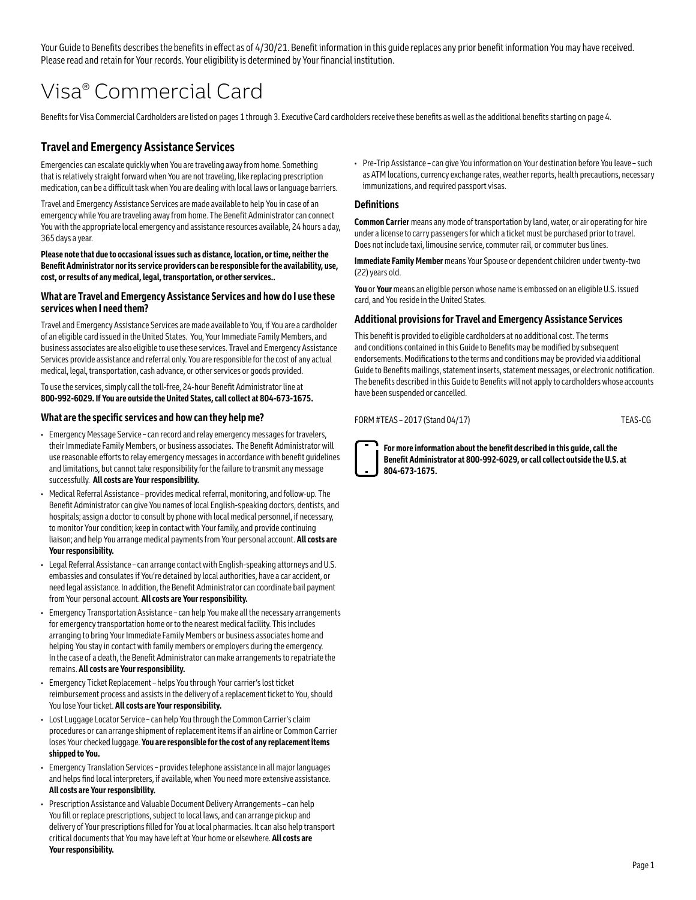Your Guide to Benefits describes the benefits in effect as of 4/30/21. Benefit information in this guide replaces any prior benefit information You may have received. Please read and retain for Your records. Your eligibility is determined by Your financial institution.

# Visa® Commercial Card

Benefits for Visa Commercial Cardholders are listed on pages 1 through 3. Executive Card cardholders receive these benefits as well as the additional benefits starting on page 4.

### **Travel and Emergency Assistance Services**

Emergencies can escalate quickly when You are traveling away from home. Something that is relatively straight forward when You are not traveling, like replacing prescription medication, can be a difficult task when You are dealing with local laws or language barriers.

Travel and Emergency Assistance Services are made available to help You in case of an emergency while You are traveling away from home. The Benefit Administrator can connect You with the appropriate local emergency and assistance resources available, 24 hours a day, 365 days a year.

**Please note that due to occasional issues such as distance, location, or time, neither the Benefit Administrator nor its service providers can be responsible for the availability, use, cost, or results of any medical, legal, transportation, or other services..**

#### **What are Travel and Emergency Assistance Services and how do I use these services when I need them?**

Travel and Emergency Assistance Services are made available to You, if You are a cardholder of an eligible card issued in the United States. You, Your Immediate Family Members, and business associates are also eligible to use these services. Travel and Emergency Assistance Services provide assistance and referral only. You are responsible for the cost of any actual medical, legal, transportation, cash advance, or other services or goods provided.

To use the services, simply call the toll-free, 24-hour Benefit Administrator line at **800‑992‑6029. If You are outside the United States, call collect at 804-673-1675.**

#### **What are the specific services and how can they help me?**

- Emergency Message Service can record and relay emergency messages for travelers, their Immediate Family Members, or business associates. The Benefit Administrator will use reasonable efforts to relay emergency messages in accordance with benefit guidelines and limitations, but cannot take responsibility for the failure to transmit any message successfully. **All costs are Your responsibility.**
- Medical Referral Assistance provides medical referral, monitoring, and follow-up. The Benefit Administrator can give You names of local English-speaking doctors, dentists, and hospitals; assign a doctor to consult by phone with local medical personnel, if necessary, to monitor Your condition; keep in contact with Your family, and provide continuing liaison; and help You arrange medical payments from Your personal account. **All costs are Your responsibility.**
- Legal Referral Assistance can arrange contact with English-speaking attorneys and U.S. embassies and consulates if You're detained by local authorities, have a car accident, or need legal assistance. In addition, the Benefit Administrator can coordinate bail payment from Your personal account. **All costs are Your responsibility.**
- Emergency Transportation Assistance can help You make all the necessary arrangements for emergency transportation home or to the nearest medical facility. This includes arranging to bring Your Immediate Family Members or business associates home and helping You stay in contact with family members or employers during the emergency. In the case of a death, the Benefit Administrator can make arrangements to repatriate the remains. **All costs are Your responsibility.**
- Emergency Ticket Replacement helps You through Your carrier's lost ticket reimbursement process and assists in the delivery of a replacement ticket to You, should You lose Your ticket. **All costs are Your responsibility.**
- Lost Luggage Locator Service can help You through the Common Carrier's claim procedures or can arrange shipment of replacement items if an airline or Common Carrier loses Your checked luggage. **You are responsible for the cost of any replacement items shipped to You.**
- Emergency Translation Services provides telephone assistance in all major languages and helps find local interpreters, if available, when You need more extensive assistance. **All costs are Your responsibility.**
- Prescription Assistance and Valuable Document Delivery Arrangements can help You fill or replace prescriptions, subject to local laws, and can arrange pickup and delivery of Your prescriptions filled for You at local pharmacies. It can also help transport critical documents that You may have left at Your home or elsewhere. **All costs are Your responsibility.**

• Pre-Trip Assistance – can give You information on Your destination before You leave – such as ATM locations, currency exchange rates, weather reports, health precautions, necessary immunizations, and required passport visas.

#### **Definitions**

**Common Carrier** means any mode of transportation by land, water, or air operating for hire under a license to carry passengers for which a ticket must be purchased prior to travel. Does not include taxi, limousine service, commuter rail, or commuter bus lines.

**Immediate Family Member** means Your Spouse or dependent children under twenty-two (22) years old.

**You** or **Your** means an eligible person whose name is embossed on an eligible U.S. issued card, and You reside in the United States.

#### **Additional provisions for Travel and Emergency Assistance Services**

This benefit is provided to eligible cardholders at no additional cost. The terms and conditions contained in this Guide to Benefits may be modified by subsequent endorsements. Modifications to the terms and conditions may be provided via additional Guide to Benefits mailings, statement inserts, statement messages, or electronic notification. The benefits described in this Guide to Benefits will not apply to cardholders whose accounts have been suspended or cancelled.

FORM #TEAS – 2017 (Stand 04/17) TEAS-CG



**For more information about the benefit described in this guide, call the Benefit Administrator at 800-992-6029, or call collect outside the U.S. at 804-673-1675.**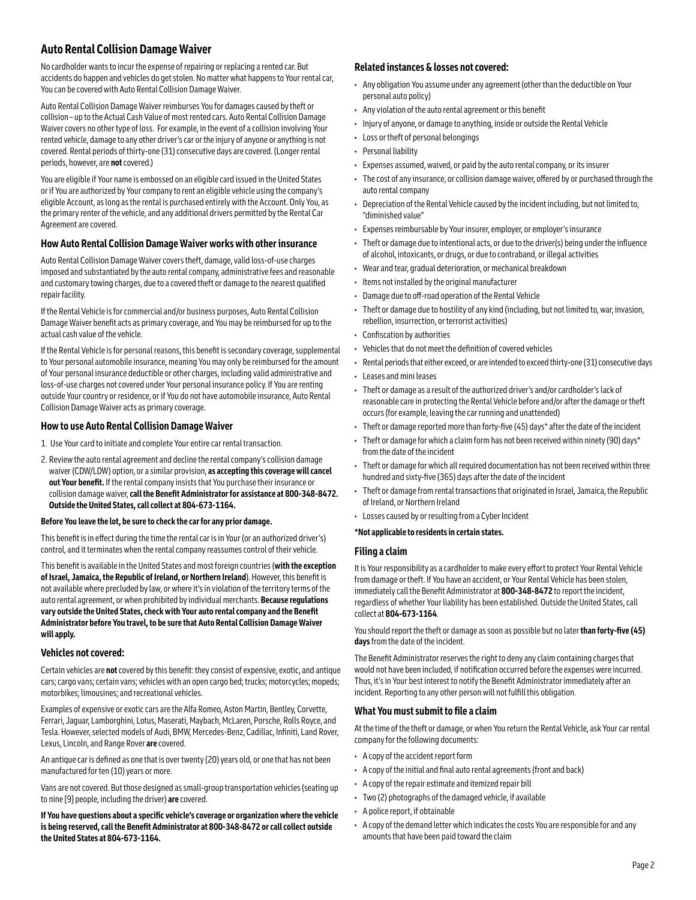## **Auto Rental Collision Damage Waiver**

No cardholder wants to incur the expense of repairing or replacing a rented car. But accidents do happen and vehicles do get stolen. No matter what happens to Your rental car, You can be covered with Auto Rental Collision Damage Waiver.

Auto Rental Collision Damage Waiver reimburses You for damages caused by theft or collision – up to the Actual Cash Value of most rented cars. Auto Rental Collision Damage Waiver covers no other type of loss. For example, in the event of a collision involving Your rented vehicle, damage to any other driver's car or the injury of anyone or anything is not covered. Rental periods of thirty-one (31) consecutive days are covered. (Longer rental periods, however, are **not** covered.)

You are eligible if Your name is embossed on an eligible card issued in the United States or if You are authorized by Your company to rent an eligible vehicle using the company's eligible Account, as long as the rental is purchased entirely with the Account. Only You, as the primary renter of the vehicle, and any additional drivers permitted by the Rental Car Agreement are covered.

#### **How Auto Rental Collision Damage Waiver works with other insurance**

Auto Rental Collision Damage Waiver covers theft, damage, valid loss-of-use charges imposed and substantiated by the auto rental company, administrative fees and reasonable and customary towing charges, due to a covered theft or damage to the nearest qualified repair facility.

If the Rental Vehicle is for commercial and/or business purposes, Auto Rental Collision Damage Waiver benefit acts as primary coverage, and You may be reimbursed for up to the actual cash value of the vehicle.

If the Rental Vehicle is for personal reasons, this benefit is secondary coverage, supplemental to Your personal automobile insurance, meaning You may only be reimbursed for the amount of Your personal insurance deductible or other charges, including valid administrative and loss-of-use charges not covered under Your personal insurance policy. If You are renting outside Your country or residence, or if You do not have automobile insurance, Auto Rental Collision Damage Waiver acts as primary coverage.

#### **How to use Auto Rental Collision Damage Waiver**

- 1. Use Your card to initiate and complete Your entire car rental transaction.
- 2. Review the auto rental agreement and decline the rental company's collision damage waiver (CDW/LDW) option, or a similar provision, **as accepting this coverage will cancel out Your benefit.** If the rental company insists that You purchase their insurance or collision damage waiver, **call the Benefit Administrator for assistance at 800-348-8472. Outside the United States, call collect at 804-673-1164.**

#### **Before You leave the lot, be sure to check the car for any prior damage.**

This benefit is in effect during the time the rental car is in Your (or an authorized driver's) control, and it terminates when the rental company reassumes control of their vehicle.

This benefit is available in the United States and most foreign countries (**with the exception of Israel, Jamaica, the Republic of Ireland, or Northern Ireland**). However, this benefit is not available where precluded by law, or where it's in violation of the territory terms of the auto rental agreement, or when prohibited by individual merchants. **Because regulations vary outside the United States, check with Your auto rental company and the Benefit Administrator before You travel, to be sure that Auto Rental Collision Damage Waiver will apply.**

#### **Vehicles not covered:**

Certain vehicles are **not** covered by this benefit: they consist of expensive, exotic, and antique cars; cargo vans; certain vans; vehicles with an open cargo bed; trucks; motorcycles; mopeds; motorbikes; limousines; and recreational vehicles.

Examples of expensive or exotic cars are the Alfa Romeo, Aston Martin, Bentley, Corvette, Ferrari, Jaguar, Lamborghini, Lotus, Maserati, Maybach, McLaren, Porsche, Rolls Royce, and Tesla. However, selected models of Audi, BMW, Mercedes-Benz, Cadillac, Infiniti, Land Rover, Lexus, Lincoln, and Range Rover **are** covered.

An antique car is defined as one that is over twenty (20) years old, or one that has not been manufactured for ten (10) years or more.

Vans are not covered. But those designed as small-group transportation vehicles (seating up to nine [9] people, including the driver) **are** covered.

**If You have questions about a specific vehicle's coverage or organization where the vehicle is being reserved, call the Benefit Administrator at 800-348-8472 or call collect outside the United States at 804-673-1164.** 

#### **Related instances & losses not covered:**

- Any obligation You assume under any agreement (other than the deductible on Your personal auto policy)
- Any violation of the auto rental agreement or this benefit
- Injury of anyone, or damage to anything, inside or outside the Rental Vehicle
- Loss or theft of personal belongings
- Personal liability
- Expenses assumed, waived, or paid by the auto rental company, or its insurer
- The cost of any insurance, or collision damage waiver, offered by or purchased through the auto rental company
- Depreciation of the Rental Vehicle caused by the incident including, but not limited to, "diminished value"
- Expenses reimbursable by Your insurer, employer, or employer's insurance
- Theft or damage due to intentional acts, or due to the driver(s) being under the influence of alcohol, intoxicants, or drugs, or due to contraband, or illegal activities
- Wear and tear, gradual deterioration, or mechanical breakdown
- Items not installed by the original manufacturer
- Damage due to off-road operation of the Rental Vehicle
- Theft or damage due to hostility of any kind (including, but not limited to, war, invasion, rebellion, insurrection, or terrorist activities)
- Confiscation by authorities
- Vehicles that do not meet the definition of covered vehicles
- Rental periods that either exceed, or are intended to exceed thirty-one (31) consecutive days
- Leases and mini leases
- Theft or damage as a result of the authorized driver's and/or cardholder's lack of reasonable care in protecting the Rental Vehicle before and/or after the damage or theft occurs (for example, leaving the car running and unattended)
- Theft or damage reported more than forty-five (45) days\* after the date of the incident
- Theft or damage for which a claim form has not been received within ninety (90) days\* from the date of the incident
- Theft or damage for which all required documentation has not been received within three hundred and sixty-five (365) days after the date of the incident
- Theft or damage from rental transactions that originated in Israel, Jamaica, the Republic of Ireland, or Northern Ireland
- Losses caused by or resulting from a Cyber Incident

#### **\*Not applicable to residents in certain states.**

#### **Filing a claim**

It is Your responsibility as a cardholder to make every effort to protect Your Rental Vehicle from damage or theft. If You have an accident, or Your Rental Vehicle has been stolen, immediately call the Benefit Administrator at **800-348-8472** to report the incident, regardless of whether Your liability has been established. Outside the United States, call collect at **804-673-1164**.

You should report the theft or damage as soon as possible but no later **than forty-five (45) days** from the date of the incident.

The Benefit Administrator reserves the right to deny any claim containing charges that would not have been included, if notification occurred before the expenses were incurred. Thus, it's in Your best interest to notify the Benefit Administrator immediately after an incident. Reporting to any other person will not fulfill this obligation.

#### **What You must submit to file a claim**

At the time of the theft or damage, or when You return the Rental Vehicle, ask Your car rental company for the following documents:

- A copy of the accident report form
- A copy of the initial and final auto rental agreements (front and back)
- A copy of the repair estimate and itemized repair bill
- Two (2) photographs of the damaged vehicle, if available
- A police report, if obtainable
- A copy of the demand letter which indicates the costs You are responsible for and any amounts that have been paid toward the claim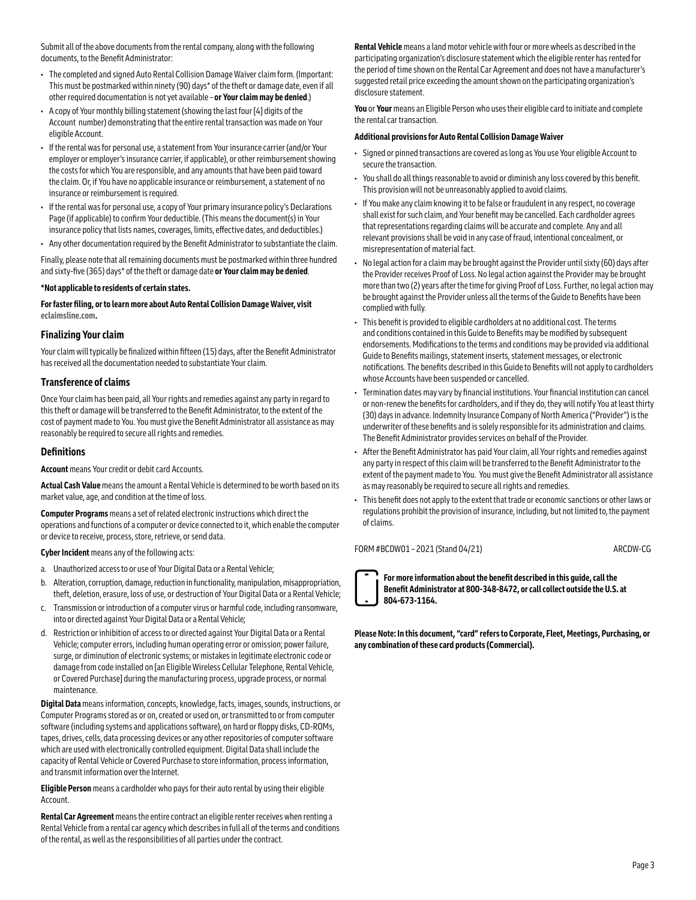Submit all of the above documents from the rental company, along with the following documents, to the Benefit Administrator:

- The completed and signed Auto Rental Collision Damage Waiver claim form. (Important: This must be postmarked within ninety (90) days\* of the theft or damage date, even if all other required documentation is not yet available – **or Your claim may be denied**.)
- A copy of Your monthly billing statement (showing the last four [4] digits of the Account number) demonstrating that the entire rental transaction was made on Your eligible Account.
- If the rental was for personal use, a statement from Your insurance carrier (and/or Your employer or employer's insurance carrier, if applicable), or other reimbursement showing the costs for which You are responsible, and any amounts that have been paid toward the claim. Or, if You have no applicable insurance or reimbursement, a statement of no insurance or reimbursement is required.
- If the rental was for personal use, a copy of Your primary insurance policy's Declarations Page (if applicable) to confirm Your deductible. (This means the document(s) in Your insurance policy that lists names, coverages, limits, effective dates, and deductibles.)
- Any other documentation required by the Benefit Administrator to substantiate the claim.

Finally, please note that all remaining documents must be postmarked within three hundred and sixty-five (365) days\* of the theft or damage date **or Your claim may be denied**.

#### **\*Not applicable to residents of certain states.**

**For faster filing, or to learn more about Auto Rental Collision Damage Waiver, visit [eclaimsline.com.](https://www.eclaimsline.com/)**

#### **Finalizing Your claim**

Your claim will typically be finalized within fifteen (15) days, after the Benefit Administrator has received all the documentation needed to substantiate Your claim.

#### **Transference of claims**

Once Your claim has been paid, all Your rights and remedies against any party in regard to this theft or damage will be transferred to the Benefit Administrator, to the extent of the cost of payment made to You. You must give the Benefit Administrator all assistance as may reasonably be required to secure all rights and remedies.

#### **Definitions**

**Account** means Your credit or debit card Accounts.

**Actual Cash Value** means the amount a Rental Vehicle is determined to be worth based on its market value, age, and condition at the time of loss.

**Computer Programs** means a set of related electronic instructions which direct the operations and functions of a computer or device connected to it, which enable the computer or device to receive, process, store, retrieve, or send data.

#### **Cyber Incident** means any of the following acts:

- a. Unauthorized access to or use of Your Digital Data or a Rental Vehicle;
- b. Alteration, corruption, damage, reduction in functionality, manipulation, misappropriation, theft, deletion, erasure, loss of use, or destruction of Your Digital Data or a Rental Vehicle;
- c. Transmission or introduction of a computer virus or harmful code, including ransomware, into or directed against Your Digital Data or a Rental Vehicle;
- d. Restriction or inhibition of access to or directed against Your Digital Data or a Rental Vehicle; computer errors, including human operating error or omission; power failure, surge, or diminution of electronic systems; or mistakes in legitimate electronic code or damage from code installed on [an Eligible Wireless Cellular Telephone, Rental Vehicle, or Covered Purchase] during the manufacturing process, upgrade process, or normal maintenance.

**Digital Data** means information, concepts, knowledge, facts, images, sounds, instructions, or Computer Programs stored as or on, created or used on, or transmitted to or from computer software (including systems and applications software), on hard or floppy disks, CD-ROMs, tapes, drives, cells, data processing devices or any other repositories of computer software which are used with electronically controlled equipment. Digital Data shall include the capacity of Rental Vehicle or Covered Purchase to store information, process information, and transmit information over the Internet.

**Eligible Person** means a cardholder who pays for their auto rental by using their eligible Account.

**Rental Car Agreement** means the entire contract an eligible renter receives when renting a Rental Vehicle from a rental car agency which describes in full all of the terms and conditions of the rental, as well as the responsibilities of all parties under the contract.

**Rental Vehicle** means a land motor vehicle with four or more wheels as described in the participating organization's disclosure statement which the eligible renter has rented for the period of time shown on the Rental Car Agreement and does not have a manufacturer's suggested retail price exceeding the amount shown on the participating organization's disclosure statement.

**You** or **Your** means an Eligible Person who uses their eligible card to initiate and complete the rental car transaction.

#### **Additional provisions for Auto Rental Collision Damage Waiver**

- Signed or pinned transactions are covered as long as You use Your eligible Account to secure the transaction.
- You shall do all things reasonable to avoid or diminish any loss covered by this benefit. This provision will not be unreasonably applied to avoid claims.
- If You make any claim knowing it to be false or fraudulent in any respect, no coverage shall exist for such claim, and Your benefit may be cancelled. Each cardholder agrees that representations regarding claims will be accurate and complete. Any and all relevant provisions shall be void in any case of fraud, intentional concealment, or misrepresentation of material fact.
- No legal action for a claim may be brought against the Provider until sixty (60) days after the Provider receives Proof of Loss. No legal action against the Provider may be brought more than two (2) years after the time for giving Proof of Loss. Further, no legal action may be brought against the Provider unless all the terms of the Guide to Benefits have been complied with fully.
- This benefit is provided to eligible cardholders at no additional cost. The terms and conditions contained in this Guide to Benefits may be modified by subsequent endorsements. Modifications to the terms and conditions may be provided via additional Guide to Benefits mailings, statement inserts, statement messages, or electronic notifications. The benefits described in this Guide to Benefits will not apply to cardholders whose Accounts have been suspended or cancelled.
- Termination dates may vary by financial institutions. Your financial institution can cancel or non-renew the benefits for cardholders, and if they do, they will notify You at least thirty (30) days in advance. Indemnity Insurance Company of North America ("Provider") is the underwriter of these benefits and is solely responsible for its administration and claims. The Benefit Administrator provides services on behalf of the Provider.
- After the Benefit Administrator has paid Your claim, all Your rights and remedies against any party in respect of this claim will be transferred to the Benefit Administrator to the extent of the payment made to You. You must give the Benefit Administrator all assistance as may reasonably be required to secure all rights and remedies.
- This benefit does not apply to the extent that trade or economic sanctions or other laws or regulations prohibit the provision of insurance, including, but not limited to, the payment of claims.

FORM #BCDW01 - 2021 (Stand 04/21) ARCDW-CG

**For more information about the benefit described in this guide, call the Benefit Administrator at 800-348-8472, or call collect outside the U.S. at 804-673-1164.**

**Please Note: In this document, "card" refers to Corporate, Fleet, Meetings, Purchasing, or any combination of these card products (Commercial).**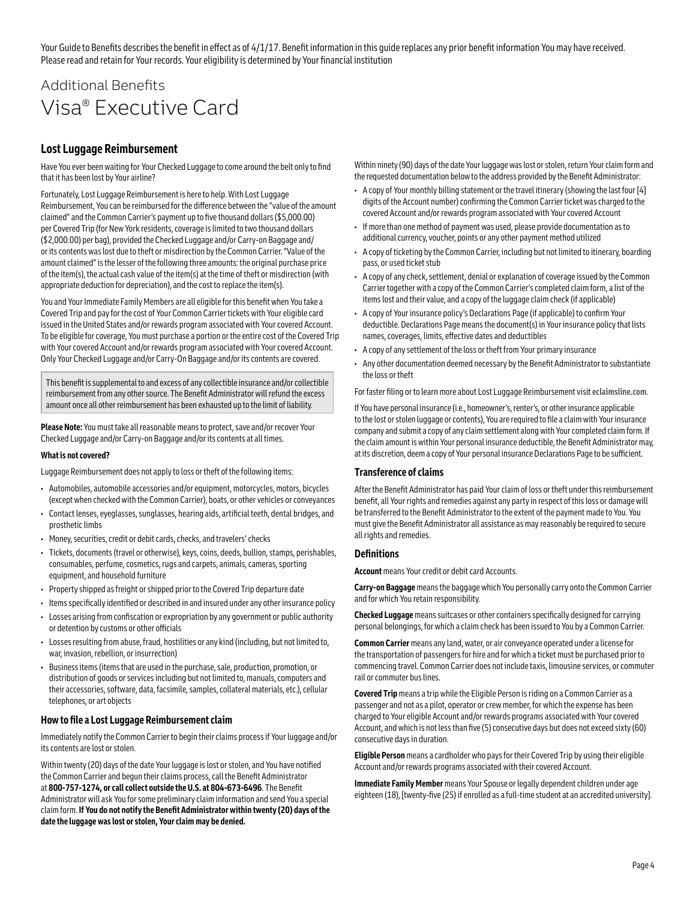Your Guide to Benefits describes the benefit in effect as of 4/1/17. Benefit information in this guide replaces any prior benefit information You may have received. Please read and retain for Your records. Your eligibility is determined by Your financial institution

## Additional Benefits Visa® Executive Card

#### **Lost Luggage Reimbursement**

Have You ever been waiting for Your Checked Luggage to come around the belt only to find that it has been lost by Your airline?

Fortunately, Lost Luggage Reimbursement is here to help. With Lost Luggage Reimbursement, You can be reimbursed for the difference between the "value of the amount claimed" and the Common Carrier's payment up to five thousand dollars (\$5,000.00) per Covered Trip (for New York residents, coverage is limited to two thousand dollars (\$2,000.00) per bag), provided the Checked Luggage and/or Carry-on Baggage and/ or its contents was lost due to theft or misdirection by the Common Carrier. "Value of the amount claimed" is the lesser of the following three amounts: the original purchase price of the item(s), the actual cash value of the item(s) at the time of theft or misdirection (with appropriate deduction for depreciation), and the cost to replace the item(s).

You and Your Immediate Family Members are all eligible for this benefit when You take a Covered Trip and pay for the cost of Your Common Carrier tickets with Your eligible card issued in the United States and/or rewards program associated with Your covered Account. To be eligible for coverage, You must purchase a portion or the entire cost of the Covered Trip with Your covered Account and/or rewards program associated with Your covered Account. Only Your Checked Luggage and/or Carry-On Baggage and/or its contents are covered.

This benefit is supplemental to and excess of any collectible insurance and/or collectible reimbursement from any other source. The Benefit Administrator will refund the excess amount once all other reimbursement has been exhausted up to the limit of liability.

**Please Note:** You must take all reasonable means to protect, save and/or recover Your Checked Luggage and/or Carry-on Baggage and/or its contents at all times.

#### **What is not covered?**

Luggage Reimbursement does not apply to loss or theft of the following items:

- Automobiles, automobile accessories and/or equipment, motorcycles, motors, bicycles (except when checked with the Common Carrier), boats, or other vehicles or conveyances
- Contact lenses, eyeglasses, sunglasses, hearing aids, artificial teeth, dental bridges, and prosthetic limbs
- Money, securities, credit or debit cards, checks, and travelers' checks
- Tickets, documents (travel or otherwise), keys, coins, deeds, bullion, stamps, perishables, consumables, perfume, cosmetics, rugs and carpets, animals, cameras, sporting equipment, and household furniture
- Property shipped as freight or shipped prior to the Covered Trip departure date
- Items specifically identified or described in and insured under any other insurance policy
- Losses arising from confiscation or expropriation by any government or public authority or detention by customs or other officials
- Losses resulting from abuse, fraud, hostilities or any kind (including, but not limited to, war, invasion, rebellion, or insurrection)
- Business items (items that are used in the purchase, sale, production, promotion, or distribution of goods or services including but not limited to, manuals, computers and their accessories, software, data, facsimile, samples, collateral materials, etc.), cellular telephones, or art objects

#### **How to file a Lost Luggage Reimbursement claim**

Immediately notify the Common Carrier to begin their claims process if Your luggage and/or its contents are lost or stolen.

Within twenty (20) days of the date Your luggage is lost or stolen, and You have notified the Common Carrier and begun their claims process, call the Benefit Administrator at **800‑757‑1274, or call collect outside the U.S. at 804-673-6496**. The Benefit Administrator will ask You for some preliminary claim information and send You a special claim form. **If You do not notify the Benefit Administrator within twenty (20) days of the date the luggage was lost or stolen, Your claim may be denied.**

Within ninety (90) days of the date Your luggage was lost or stolen, return Your claim form and the requested documentation below to the address provided by the Benefit Administrator:

- A copy of Your monthly billing statement or the travel itinerary (showing the last four [4] digits of the Account number) confirming the Common Carrier ticket was charged to the covered Account and/or rewards program associated with Your covered Account
- If more than one method of payment was used, please provide documentation as to additional currency, voucher, points or any other payment method utilized
- A copy of ticketing by the Common Carrier, including but not limited to itinerary, boarding pass, or used ticket stub
- A copy of any check, settlement, denial or explanation of coverage issued by the Common Carrier together with a copy of the Common Carrier's completed claim form, a list of the items lost and their value, and a copy of the luggage claim check (if applicable)
- A copy of Your insurance policy's Declarations Page (if applicable) to confirm Your deductible. Declarations Page means the document(s) in Your insurance policy that lists names, coverages, limits, effective dates and deductibles
- A copy of any settlement of the loss or theft from Your primary insurance
- Any other documentation deemed necessary by the Benefit Administrator to substantiate the loss or theft

For faster filing or to learn more about Lost Luggage Reimbursement visit **[eclaimsline.com](https://www.eclaimsline.com/)**.

If You have personal insurance (i.e., homeowner's, renter's, or other insurance applicable to the lost or stolen luggage or contents), You are required to file a claim with Your insurance company and submit a copy of any claim settlement along with Your completed claim form. If the claim amount is within Your personal insurance deductible, the Benefit Administrator may, at its discretion, deem a copy of Your personal insurance Declarations Page to be sufficient.

#### **Transference of claims**

After the Benefit Administrator has paid Your claim of loss or theft under this reimbursement benefit, all Your rights and remedies against any party in respect of this loss or damage will be transferred to the Benefit Administrator to the extent of the payment made to You. You must give the Benefit Administrator all assistance as may reasonably be required to secure all rights and remedies.

#### **Definitions**

**Account** means Your credit or debit card Accounts.

**Carry-on Baggage** means the baggage which You personally carry onto the Common Carrier and for which You retain responsibility.

**Checked Luggage** means suitcases or other containers specifically designed for carrying personal belongings, for which a claim check has been issued to You by a Common Carrier.

**Common Carrier** means any land, water, or air conveyance operated under a license for the transportation of passengers for hire and for which a ticket must be purchased prior to commencing travel. Common Carrier does not include taxis, limousine services, or commuter rail or commuter bus lines.

**Covered Trip** means a trip while the Eligible Person is riding on a Common Carrier as a passenger and not as a pilot, operator or crew member, for which the expense has been charged to Your eligible Account and/or rewards programs associated with Your covered Account, and which is not less than five (5) consecutive days but does not exceed sixty (60) consecutive days in duration.

**Eligible Person** means a cardholder who pays for their Covered Trip by using their eligible Account and/or rewards programs associated with their covered Account.

**Immediate Family Member** means Your Spouse or legally dependent children under age eighteen (18), [twenty-five (25) if enrolled as a full-time student at an accredited university].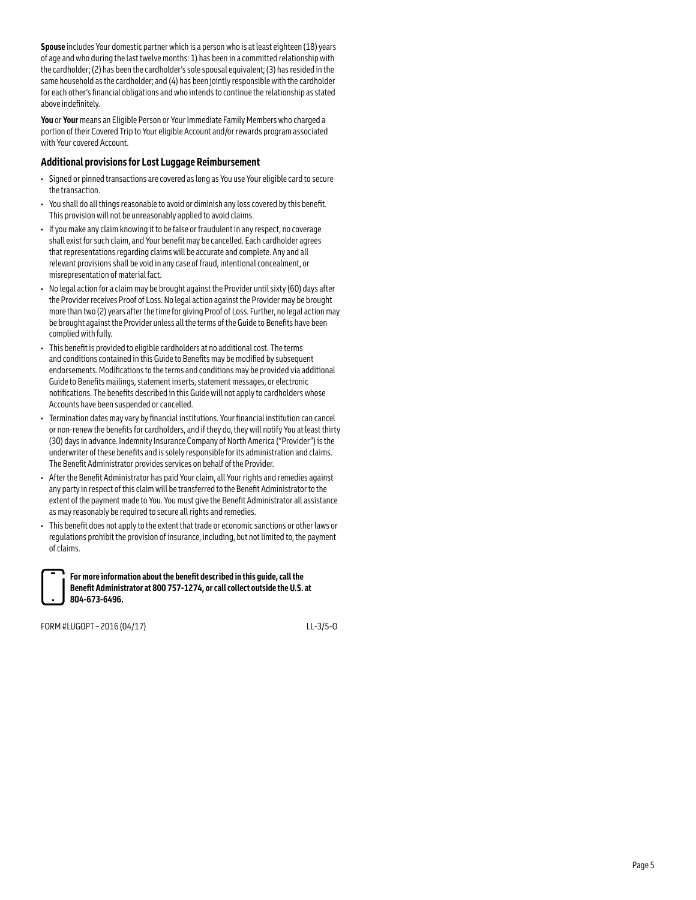**Spouse** includes Your domestic partner which is a person who is at least eighteen (18) years of age and who during the last twelve months: 1) has been in a committed relationship with the cardholder; (2) has been the cardholder's sole spousal equivalent; (3) has resided in the same household as the cardholder; and (4) has been jointly responsible with the cardholder for each other's financial obligations and who intends to continue the relationship as stated above indefinitely.

**You** or **Your** means an Eligible Person or Your Immediate Family Members who charged a portion of their Covered Trip to Your eligible Account and/or rewards program associated with Your covered Account.

#### **Additional provisions for Lost Luggage Reimbursement**

- Signed or pinned transactions are covered as long as You use Your eligible card to secure the transaction.
- You shall do all things reasonable to avoid or diminish any loss covered by this benefit. This provision will not be unreasonably applied to avoid claims.
- If you make any claim knowing it to be false or fraudulent in any respect, no coverage shall exist for such claim, and Your benefit may be cancelled. Each cardholder agrees that representations regarding claims will be accurate and complete. Any and all relevant provisions shall be void in any case of fraud, intentional concealment, or misrepresentation of material fact.
- No legal action for a claim may be brought against the Provider until sixty (60) days after the Provider receives Proof of Loss. No legal action against the Provider may be brought more than two (2) years after the time for giving Proof of Loss. Further, no legal action may be brought against the Provider unless all the terms of the Guide to Benefits have been complied with fully.
- This benefit is provided to eligible cardholders at no additional cost. The terms and conditions contained in this Guide to Benefits may be modified by subsequent endorsements. Modifications to the terms and conditions may be provided via additional Guide to Benefits mailings, statement inserts, statement messages, or electronic notifications. The benefits described in this Guide will not apply to cardholders whose Accounts have been suspended or cancelled.
- Termination dates may vary by financial institutions. Your financial institution can cancel or non-renew the benefits for cardholders, and if they do, they will notify You at least thirty (30) days in advance. Indemnity Insurance Company of North America ("Provider") is the underwriter of these benefits and is solely responsible for its administration and claims. The Benefit Administrator provides services on behalf of the Provider.
- After the Benefit Administrator has paid Your claim, all Your rights and remedies against any party in respect of this claim will be transferred to the Benefit Administrator to the extent of the payment made to You. You must give the Benefit Administrator all assistance as may reasonably be required to secure all rights and remedies.
- This benefit does not apply to the extent that trade or economic sanctions or other laws or regulations prohibit the provision of insurance, including, but not limited to, the payment of claims.

**For more information about the benefit described in this guide, call the Benefit Administrator at 800 757-1274, or call collect outside the U.S. at 804‑673‑6496.**

FORM #LUGOPT – 2016 (04/17) LL-3/5-O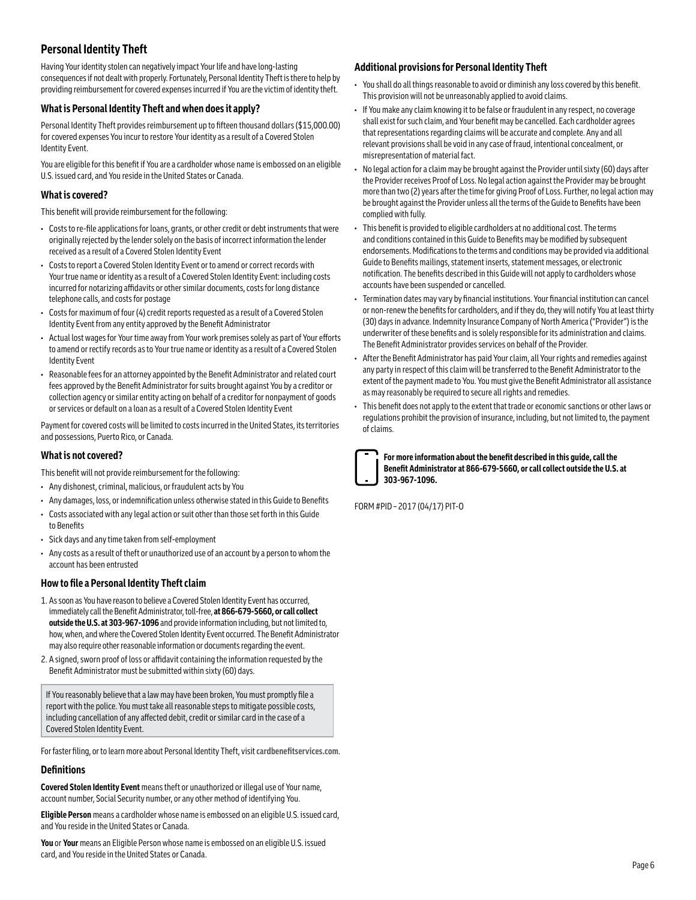## **Personal Identity Theft**

Having Your identity stolen can negatively impact Your life and have long-lasting consequences if not dealt with properly. Fortunately, Personal Identity Theft is there to help by providing reimbursement for covered expenses incurred if You are the victim of identity theft.

#### **What is Personal Identity Theft and when does it apply?**

Personal Identity Theft provides reimbursement up to fifteen thousand dollars (\$15,000.00) for covered expenses You incur to restore Your identity as a result of a Covered Stolen Identity Event.

You are eligible for this benefit if You are a cardholder whose name is embossed on an eligible U.S. issued card, and You reside in the United States or Canada.

#### **What is covered?**

This benefit will provide reimbursement for the following:

- Costs to re-file applications for loans, grants, or other credit or debt instruments that were originally rejected by the lender solely on the basis of incorrect information the lender received as a result of a Covered Stolen Identity Event
- Costs to report a Covered Stolen Identity Event or to amend or correct records with Your true name or identity as a result of a Covered Stolen Identity Event: including costs incurred for notarizing affidavits or other similar documents, costs for long distance telephone calls, and costs for postage
- Costs for maximum of four (4) credit reports requested as a result of a Covered Stolen Identity Event from any entity approved by the Benefit Administrator
- Actual lost wages for Your time away from Your work premises solely as part of Your efforts to amend or rectify records as to Your true name or identity as a result of a Covered Stolen Identity Event
- Reasonable fees for an attorney appointed by the Benefit Administrator and related court fees approved by the Benefit Administrator for suits brought against You by a creditor or collection agency or similar entity acting on behalf of a creditor for nonpayment of goods or services or default on a loan as a result of a Covered Stolen Identity Event

Payment for covered costs will be limited to costs incurred in the United States, its territories and possessions, Puerto Rico, or Canada.

#### **What is not covered?**

This benefit will not provide reimbursement for the following:

- Any dishonest, criminal, malicious, or fraudulent acts by You
- Any damages, loss, or indemnification unless otherwise stated in this Guide to Benefits
- Costs associated with any legal action or suit other than those set forth in this Guide to Benefits
- Sick days and any time taken from self-employment
- Any costs as a result of theft or unauthorized use of an account by a person to whom the account has been entrusted

#### **How to file a Personal Identity Theft claim**

- 1. As soon as You have reason to believe a Covered Stolen Identity Event has occurred, immediately call the Benefit Administrator, toll-free, **at 866-679-5660, or call collect outside the U.S. at 303-967-1096** and provide information including, but not limited to, how, when, and where the Covered Stolen Identity Event occurred. The Benefit Administrator may also require other reasonable information or documents regarding the event.
- 2. A signed, sworn proof of loss or affidavit containing the information requested by the Benefit Administrator must be submitted within sixty (60) days.

If You reasonably believe that a law may have been broken, You must promptly file a report with the police. You must take all reasonable steps to mitigate possible costs, including cancellation of any affected debit, credit or similar card in the case of a Covered Stolen Identity Event.

For faster filing, or to learn more about Personal Identity Theft, visit**[cardbenefitservices.com](https://cardbenefitservices.com/UserAccess/Login?ReturnUrl=%2f)**.

#### **Definitions**

**Covered Stolen Identity Event** means theft or unauthorized or illegal use of Your name, account number, Social Security number, or any other method of identifying You.

**Eligible Person** means a cardholder whose name is embossed on an eligible U.S. issued card, and You reside in the United States or Canada.

**You** or **Your** means an Eligible Person whose name is embossed on an eligible U.S. issued card, and You reside in the United States or Canada.

#### **Additional provisions for Personal Identity Theft**

- You shall do all things reasonable to avoid or diminish any loss covered by this benefit. This provision will not be unreasonably applied to avoid claims.
- If You make any claim knowing it to be false or fraudulent in any respect, no coverage shall exist for such claim, and Your benefit may be cancelled. Each cardholder agrees that representations regarding claims will be accurate and complete. Any and all relevant provisions shall be void in any case of fraud, intentional concealment, or misrepresentation of material fact.
- No legal action for a claim may be brought against the Provider until sixty (60) days after the Provider receives Proof of Loss. No legal action against the Provider may be brought more than two (2) years after the time for giving Proof of Loss. Further, no legal action may be brought against the Provider unless all the terms of the Guide to Benefits have been complied with fully.
- This benefit is provided to eligible cardholders at no additional cost. The terms and conditions contained in this Guide to Benefits may be modified by subsequent endorsements. Modifications to the terms and conditions may be provided via additional Guide to Benefits mailings, statement inserts, statement messages, or electronic notification. The benefits described in this Guide will not apply to cardholders whose accounts have been suspended or cancelled.
- Termination dates may vary by financial institutions. Your financial institution can cancel or non-renew the benefits for cardholders, and if they do, they will notify You at least thirty (30) days in advance. Indemnity Insurance Company of North America ("Provider") is the underwriter of these benefits and is solely responsible for its administration and claims. The Benefit Administrator provides services on behalf of the Provider.
- After the Benefit Administrator has paid Your claim, all Your rights and remedies against any party in respect of this claim will be transferred to the Benefit Administrator to the extent of the payment made to You. You must give the Benefit Administrator all assistance as may reasonably be required to secure all rights and remedies.
- This benefit does not apply to the extent that trade or economic sanctions or other laws or regulations prohibit the provision of insurance, including, but not limited to, the payment of claims.



**For more information about the benefit described in this guide, call the Benefit Administrator at 866-679-5660, or call collect outside the U.S. at 303-967-1096.**

FORM #PID – 2017 (04/17) PIT-O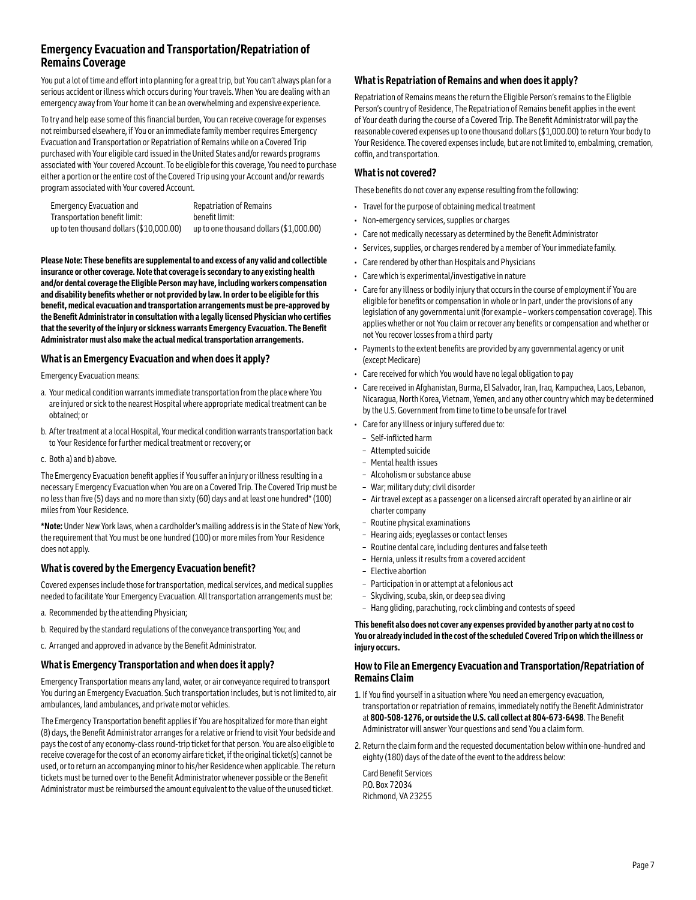## **Emergency Evacuation and Transportation/Repatriation of Remains Coverage**

You put a lot of time and effort into planning for a great trip, but You can't always plan for a serious accident or illness which occurs during Your travels. When You are dealing with an emergency away from Your home it can be an overwhelming and expensive experience.

To try and help ease some of this financial burden, You can receive coverage for expenses not reimbursed elsewhere, if You or an immediate family member requires Emergency Evacuation and Transportation or Repatriation of Remains while on a Covered Trip purchased with Your eligible card issued in the United States and/or rewards programs associated with Your covered Account. To be eligible for this coverage, You need to purchase either a portion or the entire cost of the Covered Trip using your Account and/or rewards program associated with Your covered Account.

| Emergency Evacuation and                 | <b>Repatriation of Remains</b>          |
|------------------------------------------|-----------------------------------------|
| Transportation benefit limit:            | benefit limit:                          |
| up to ten thousand dollars (\$10,000.00) | up to one thousand dollars (\$1,000.00) |

**Please Note: These benefits are supplemental to and excess of any valid and collectible insurance or other coverage. Note that coverage is secondary to any existing health and/or dental coverage the Eligible Person may have, including workers compensation and disability benefits whether or not provided by law. In order to be eligible for this benefit, medical evacuation and transportation arrangements must be pre-approved by the Benefit Administrator in consultation with a legally licensed Physician who certifies that the severity of the injury or sickness warrants Emergency Evacuation. The Benefit Administrator must also make the actual medical transportation arrangements.**

#### **What is an Emergency Evacuation and when does it apply?**

Emergency Evacuation means:

- a. Your medical condition warrants immediate transportation from the place where You are injured or sick to the nearest Hospital where appropriate medical treatment can be obtained; or
- b. After treatment at a local Hospital, Your medical condition warrants transportation back to Your Residence for further medical treatment or recovery; or
- c. Both a) and b) above.

The Emergency Evacuation benefit applies if You suffer an injury or illness resulting in a necessary Emergency Evacuation when You are on a Covered Trip. The Covered Trip must be no less than five (5) days and no more than sixty (60) days and at least one hundred\* (100) miles from Your Residence.

**\*Note:** Under New York laws, when a cardholder's mailing address is in the State of New York, the requirement that You must be one hundred (100) or more miles from Your Residence does not apply.

#### **What is covered by the Emergency Evacuation benefit?**

Covered expenses include those for transportation, medical services, and medical supplies needed to facilitate Your Emergency Evacuation. All transportation arrangements must be:

- a. Recommended by the attending Physician;
- b. Required by the standard regulations of the conveyance transporting You; and
- c. Arranged and approved in advance by the Benefit Administrator.

#### **What is Emergency Transportation and when does it apply?**

Emergency Transportation means any land, water, or air conveyance required to transport You during an Emergency Evacuation. Such transportation includes, but is not limited to, air ambulances, land ambulances, and private motor vehicles.

The Emergency Transportation benefit applies if You are hospitalized for more than eight (8) days, the Benefit Administrator arranges for a relative or friend to visit Your bedside and pays the cost of any economy-class round-trip ticket for that person. You are also eligible to receive coverage for the cost of an economy airfare ticket, if the original ticket(s) cannot be used, or to return an accompanying minor to his/her Residence when applicable. The return tickets must be turned over to the Benefit Administrator whenever possible or the Benefit Administrator must be reimbursed the amount equivalent to the value of the unused ticket.

#### **What is Repatriation of Remains and when does it apply?**

Repatriation of Remains means the return the Eligible Person's remains to the Eligible Person's country of Residence, The Repatriation of Remains benefit applies in the event of Your death during the course of a Covered Trip. The Benefit Administrator will pay the reasonable covered expenses up to one thousand dollars (\$1,000.00) to return Your body to Your Residence. The covered expenses include, but are not limited to, embalming, cremation, coffin, and transportation.

#### **What is not covered?**

These benefits do not cover any expense resulting from the following:

- Travel for the purpose of obtaining medical treatment
- Non-emergency services, supplies or charges
- Care not medically necessary as determined by the Benefit Administrator
- Services, supplies, or charges rendered by a member of Your immediate family.
- Care rendered by other than Hospitals and Physicians
- Care which is experimental/investigative in nature
- Care for any illness or bodily injury that occurs in the course of employment if You are eligible for benefits or compensation in whole or in part, under the provisions of any legislation of any governmental unit (for example – workers compensation coverage). This applies whether or not You claim or recover any benefits or compensation and whether or not You recover losses from a third party
- Payments to the extent benefits are provided by any governmental agency or unit (except Medicare)
- Care received for which You would have no legal obligation to pay
- Care received in Afghanistan, Burma, El Salvador, Iran, Iraq, Kampuchea, Laos, Lebanon, Nicaragua, North Korea, Vietnam, Yemen, and any other country which may be determined by the U.S. Government from time to time to be unsafe for travel
- Care for any illness or injury suffered due to:
- Self-inflicted harm
- Attempted suicide
- Mental health issues
- Alcoholism or substance abuse
- War; military duty; civil disorder
- Air travel except as a passenger on a licensed aircraft operated by an airline or air charter company
- Routine physical examinations
- Hearing aids; eyeglasses or contact lenses
- Routine dental care, including dentures and false teeth
- Hernia, unless it results from a covered accident
- Elective abortion
- Participation in or attempt at a felonious act
- Skydiving, scuba, skin, or deep sea diving
- Hang gliding, parachuting, rock climbing and contests of speed

**This benefit also does not cover any expenses provided by another party at no cost to You or already included in the cost of the scheduled Covered Trip on which the illness or injury occurs.**

#### **How to File an Emergency Evacuation and Transportation/Repatriation of Remains Claim**

- 1. If You find yourself in a situation where You need an emergency evacuation, transportation or repatriation of remains, immediately notify the Benefit Administrator at **800‑508‑1276, or outside the U.S. call collect at 804-673-6498**. The Benefit Administrator will answer Your questions and send You a claim form.
- 2. Return the claim form and the requested documentation below within one-hundred and eighty (180) days of the date of the event to the address below:

Card Benefit Services P.O. Box 72034 Richmond, VA 23255